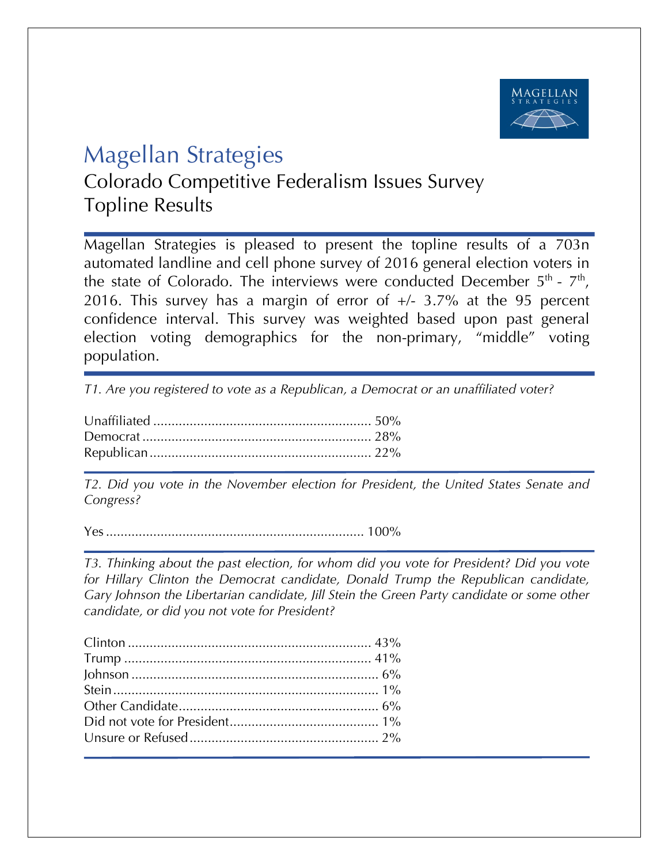

## Magellan Strategies

Colorado Competitive Federalism Issues Survey Topline Results

Magellan Strategies is pleased to present the topline results of a 703n automated landline and cell phone survey of 2016 general election voters in the state of Colorado. The interviews were conducted December  $5<sup>th</sup>$  -  $7<sup>th</sup>$ , 2016. This survey has a margin of error of  $+/- 3.7\%$  at the 95 percent confidence interval. This survey was weighted based upon past general election voting demographics for the non-primary, "middle" voting population.

*T1. Are you registered to vote as a Republican, a Democrat or an unaffiliated voter?*

*T2. Did you vote in the November election for President, the United States Senate and Congress?* 

Yes....................................................................... 100%

*T3. Thinking about the past election, for whom did you vote for President? Did you vote for Hillary Clinton the Democrat candidate, Donald Trump the Republican candidate, Gary Johnson the Libertarian candidate, Jill Stein the Green Party candidate or some other candidate, or did you not vote for President?*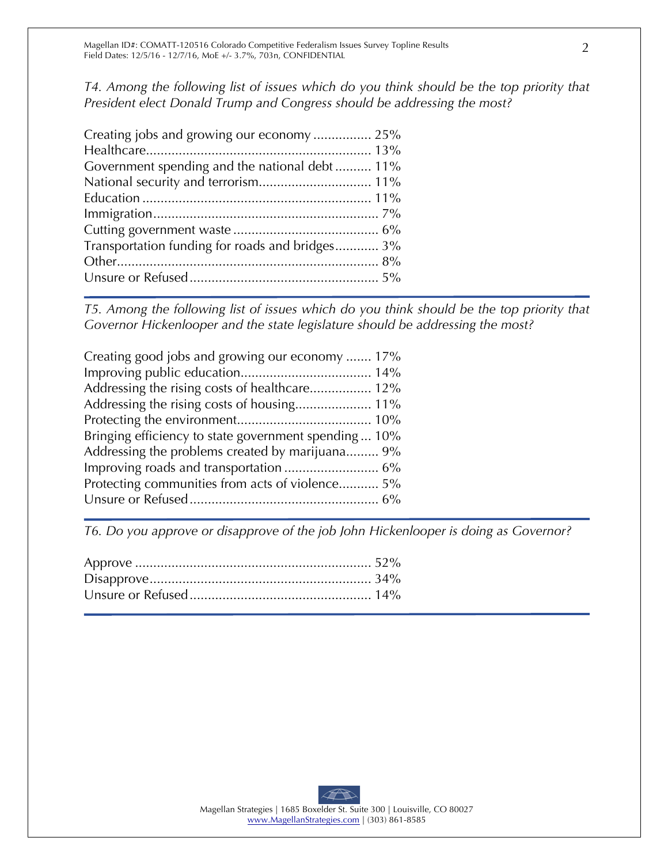*T4. Among the following list of issues which do you think should be the top priority that President elect Donald Trump and Congress should be addressing the most?*

| Creating jobs and growing our economy  25%      |  |
|-------------------------------------------------|--|
|                                                 |  |
| Government spending and the national debt 11%   |  |
|                                                 |  |
|                                                 |  |
|                                                 |  |
|                                                 |  |
| Transportation funding for roads and bridges 3% |  |
|                                                 |  |
|                                                 |  |
|                                                 |  |

*T5. Among the following list of issues which do you think should be the top priority that Governor Hickenlooper and the state legislature should be addressing the most?* 

| Creating good jobs and growing our economy  17%       |
|-------------------------------------------------------|
|                                                       |
| Addressing the rising costs of healthcare 12%         |
|                                                       |
|                                                       |
| Bringing efficiency to state government spending  10% |
| Addressing the problems created by marijuana 9%       |
|                                                       |
| Protecting communities from acts of violence 5%       |
|                                                       |

*T6. Do you approve or disapprove of the job John Hickenlooper is doing as Governor?*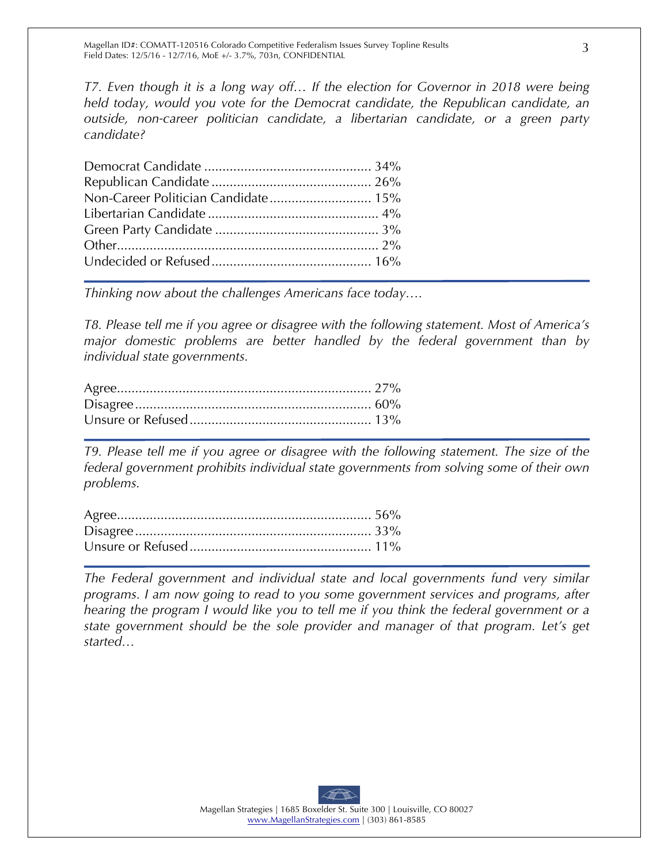*T7. Even though it is a long way off… If the election for Governor in 2018 were being held today, would you vote for the Democrat candidate, the Republican candidate, an outside, non-career politician candidate, a libertarian candidate, or a green party candidate?*

| Non-Career Politician Candidate 15% |  |
|-------------------------------------|--|
|                                     |  |
|                                     |  |
|                                     |  |
|                                     |  |

*Thinking now about the challenges Americans face today….*

*T8. Please tell me if you agree or disagree with the following statement. Most of America's major domestic problems are better handled by the federal government than by individual state governments.*

*T9. Please tell me if you agree or disagree with the following statement. The size of the federal government prohibits individual state governments from solving some of their own problems.*

*The Federal government and individual state and local governments fund very similar programs. I am now going to read to you some government services and programs, after hearing the program I would like you to tell me if you think the federal government or a state government should be the sole provider and manager of that program. Let's get started…*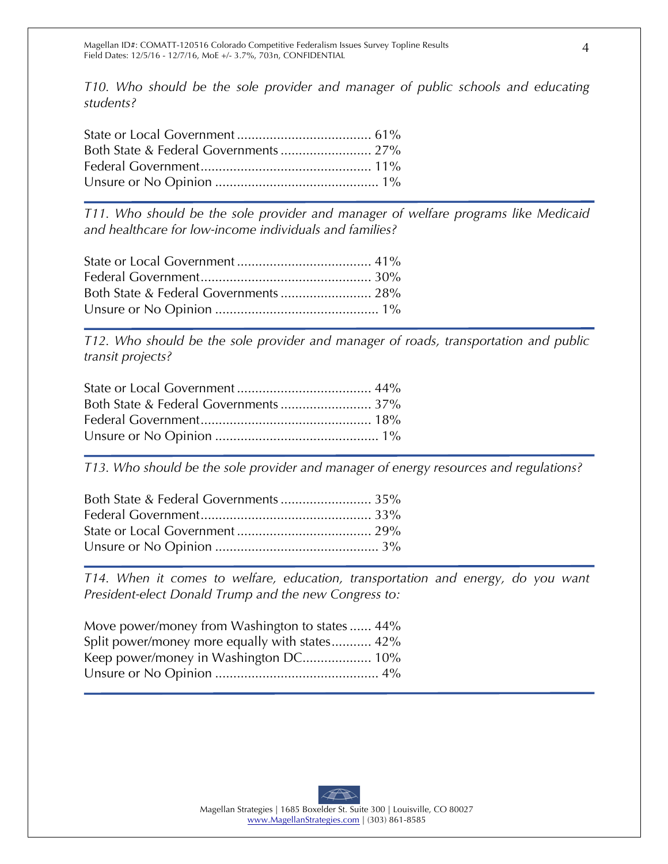*T10. Who should be the sole provider and manager of public schools and educating students?*

*T11. Who should be the sole provider and manager of welfare programs like Medicaid and healthcare for low-income individuals and families?*

*T12. Who should be the sole provider and manager of roads, transportation and public transit projects?*

*T13. Who should be the sole provider and manager of energy resources and regulations?*

*T14. When it comes to welfare, education, transportation and energy, do you want President-elect Donald Trump and the new Congress to:*

| Move power/money from Washington to states  44% |  |
|-------------------------------------------------|--|
| Split power/money more equally with states 42%  |  |
| Keep power/money in Washington DC 10%           |  |
|                                                 |  |
|                                                 |  |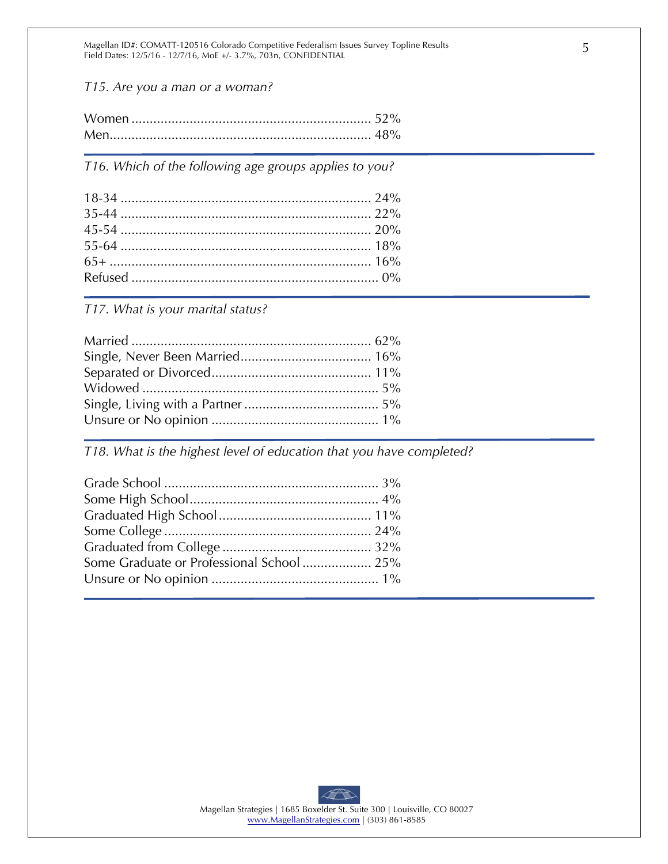Magellan ID#: COMATT-120516 Colorado Competitive Federalism Issues Survey Topline Results Field Dates: 12/5/16 - 12/7/16, MoE +/- 3.7%, 703n, CONFIDENTIAL

*T15. Are you a man or a woman?*

*T16. Which of the following age groups applies to you?* 

*T17. What is your marital status?* 

*T18. What is the highest level of education that you have completed?*

| Some Graduate or Professional School 25% |  |
|------------------------------------------|--|
|                                          |  |